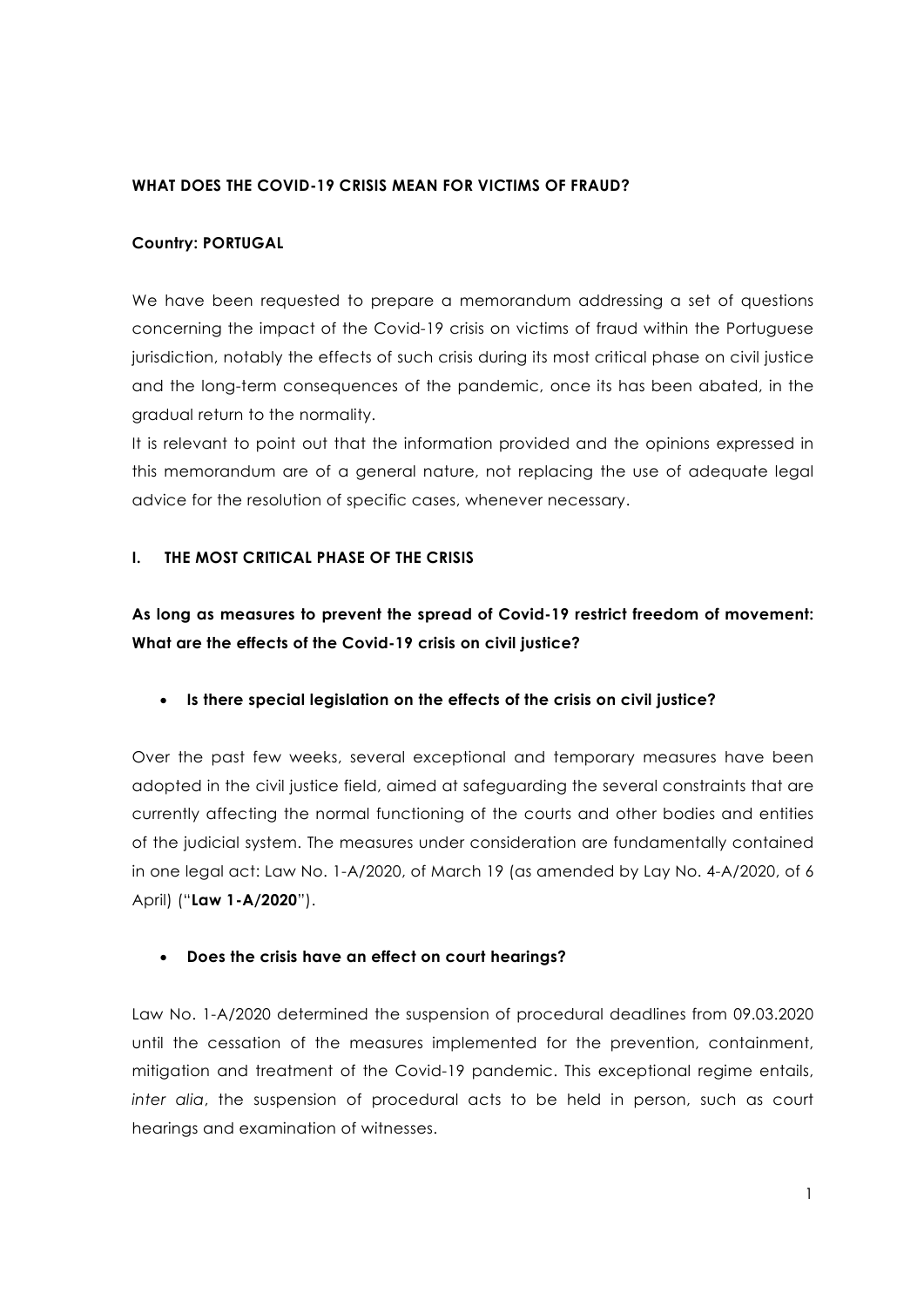## WHAT DOES THE COVID-19 CRISIS MEAN FOR VICTIMS OF FRAUD?

### Country: PORTUGAL

We have been requested to prepare a memorandum addressing a set of questions concerning the impact of the Covid-19 crisis on victims of fraud within the Portuguese jurisdiction, notably the effects of such crisis during its most critical phase on civil justice and the long-term consequences of the pandemic, once its has been abated, in the gradual return to the normality.

It is relevant to point out that the information provided and the opinions expressed in this memorandum are of a general nature, not replacing the use of adequate legal advice for the resolution of specific cases, whenever necessary.

### I. THE MOST CRITICAL PHASE OF THE CRISIS

As long as measures to prevent the spread of Covid-19 restrict freedom of movement: What are the effects of the Covid-19 crisis on civil justice?

## • Is there special legislation on the effects of the crisis on civil justice?

Over the past few weeks, several exceptional and temporary measures have been adopted in the civil justice field, aimed at safeguarding the several constraints that are currently affecting the normal functioning of the courts and other bodies and entities of the judicial system. The measures under consideration are fundamentally contained in one legal act: Law No. 1-A/2020, of March 19 (as amended by Lay No. 4-A/2020, of 6 April) ("Law 1-A/2020").

### Does the crisis have an effect on court hearings?

Law No. 1-A/2020 determined the suspension of procedural deadlines from 09.03.2020 until the cessation of the measures implemented for the prevention, containment, mitigation and treatment of the Covid-19 pandemic. This exceptional regime entails, inter alia, the suspension of procedural acts to be held in person, such as court hearings and examination of witnesses.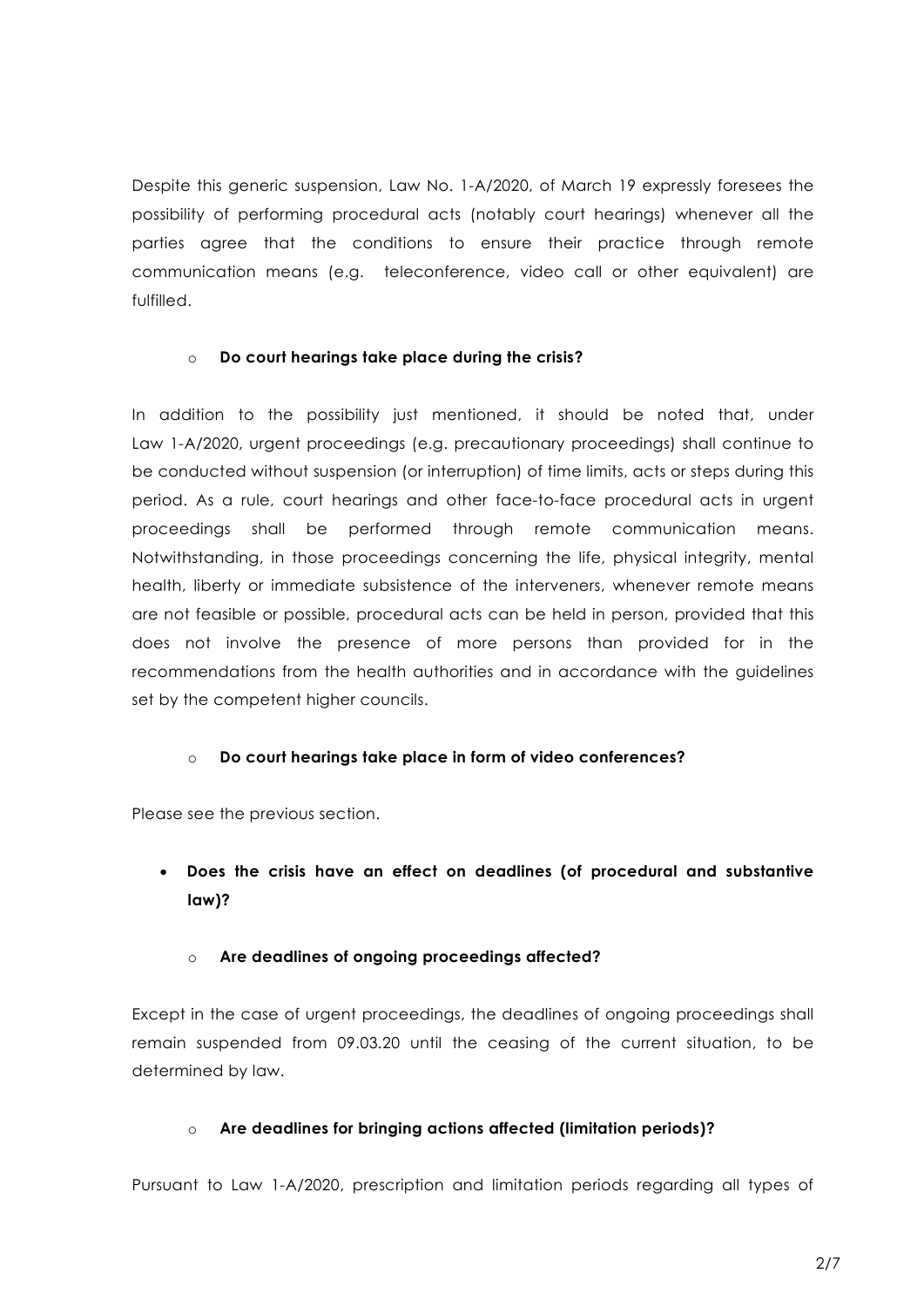Despite this generic suspension, Law No. 1-A/2020, of March 19 expressly foresees the possibility of performing procedural acts (notably court hearings) whenever all the parties agree that the conditions to ensure their practice through remote communication means (e.g. teleconference, video call or other equivalent) are fulfilled.

### o Do court hearings take place during the crisis?

In addition to the possibility just mentioned, it should be noted that, under Law 1-A/2020, urgent proceedings (e.g. precautionary proceedings) shall continue to be conducted without suspension (or interruption) of time limits, acts or steps during this period. As a rule, court hearings and other face-to-face procedural acts in urgent proceedings shall be performed through remote communication means. Notwithstanding, in those proceedings concerning the life, physical integrity, mental health, liberty or immediate subsistence of the interveners, whenever remote means are not feasible or possible, procedural acts can be held in person, provided that this does not involve the presence of more persons than provided for in the recommendations from the health authorities and in accordance with the guidelines set by the competent higher councils.

### o Do court hearings take place in form of video conferences?

Please see the previous section.

 Does the crisis have an effect on deadlines (of procedural and substantive law)?

## o Are deadlines of ongoing proceedings affected?

Except in the case of urgent proceedings, the deadlines of ongoing proceedings shall remain suspended from 09.03.20 until the ceasing of the current situation, to be determined by law.

## o Are deadlines for bringing actions affected (limitation periods)?

Pursuant to Law 1-A/2020, prescription and limitation periods regarding all types of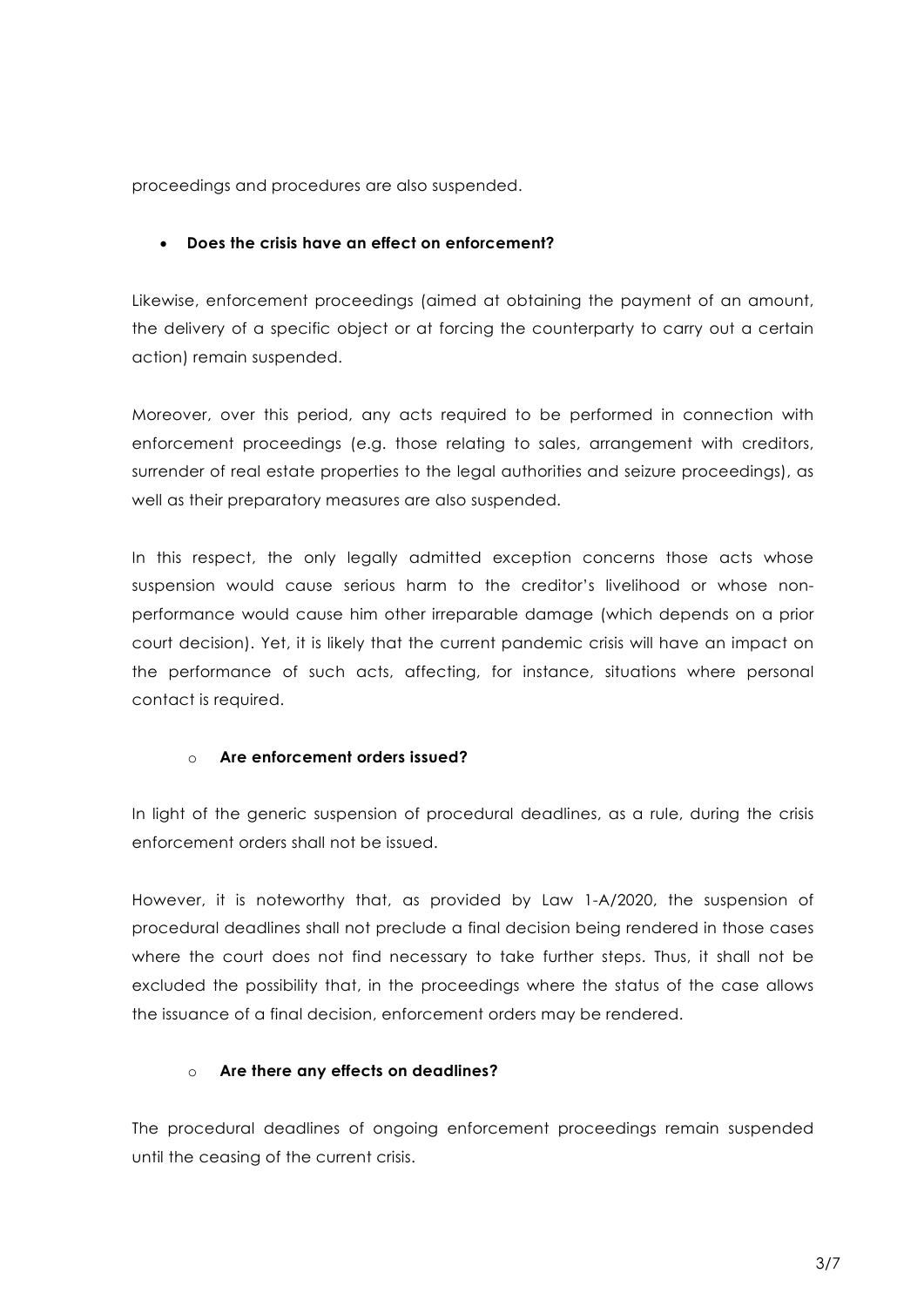proceedings and procedures are also suspended.

## Does the crisis have an effect on enforcement?

Likewise, enforcement proceedings (aimed at obtaining the payment of an amount, the delivery of a specific object or at forcing the counterparty to carry out a certain action) remain suspended.

Moreover, over this period, any acts required to be performed in connection with enforcement proceedings (e.g. those relating to sales, arrangement with creditors, surrender of real estate properties to the legal authorities and seizure proceedings), as well as their preparatory measures are also suspended.

In this respect, the only legally admitted exception concerns those acts whose suspension would cause serious harm to the creditor's livelihood or whose nonperformance would cause him other irreparable damage (which depends on a prior court decision). Yet, it is likely that the current pandemic crisis will have an impact on the performance of such acts, affecting, for instance, situations where personal contact is required.

## o Are enforcement orders issued?

In light of the generic suspension of procedural deadlines, as a rule, during the crisis enforcement orders shall not be issued.

However, it is noteworthy that, as provided by Law 1-A/2020, the suspension of procedural deadlines shall not preclude a final decision being rendered in those cases where the court does not find necessary to take further steps. Thus, it shall not be excluded the possibility that, in the proceedings where the status of the case allows the issuance of a final decision, enforcement orders may be rendered.

## o Are there any effects on deadlines?

The procedural deadlines of ongoing enforcement proceedings remain suspended until the ceasing of the current crisis.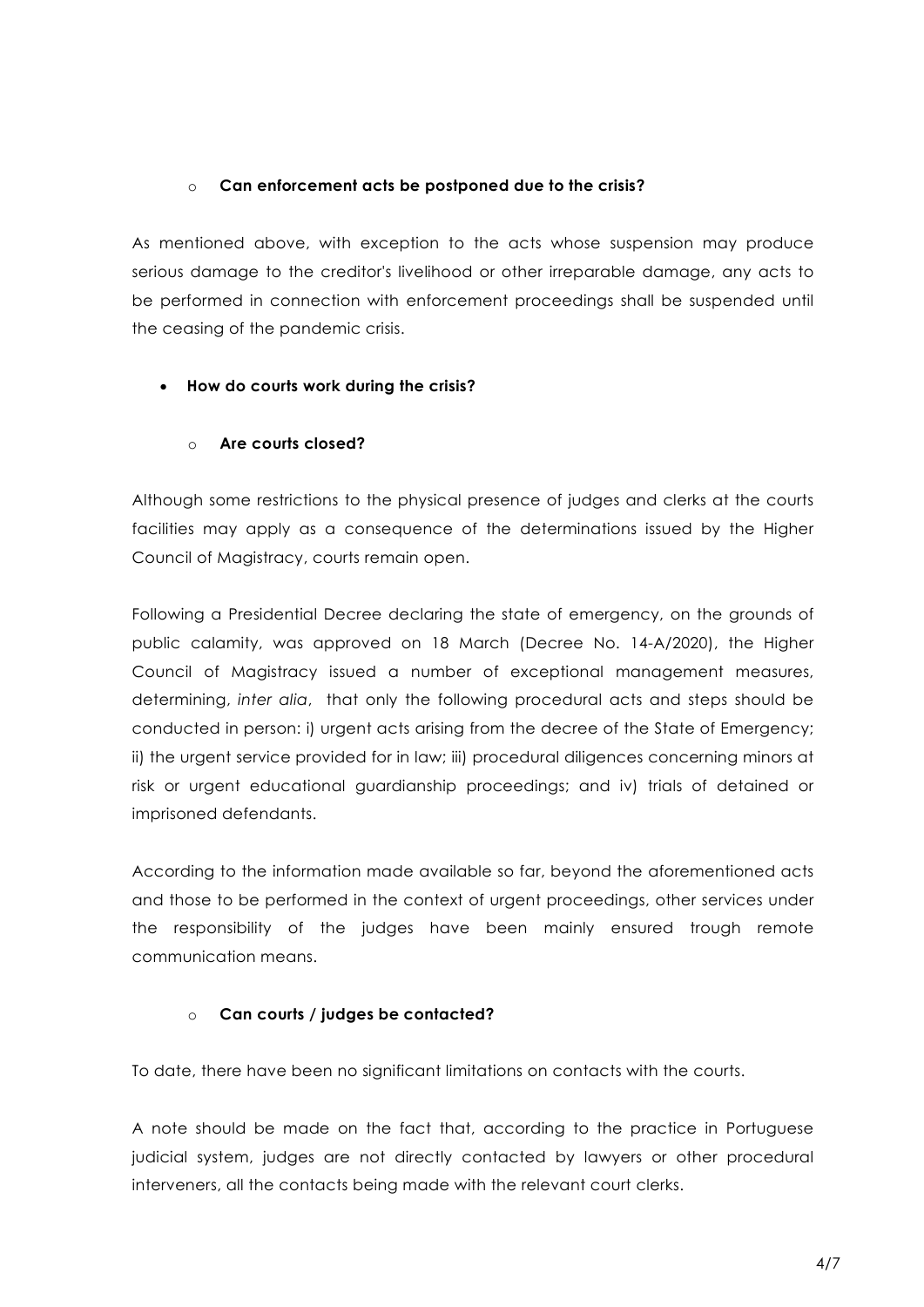### o Can enforcement acts be postponed due to the crisis?

As mentioned above, with exception to the acts whose suspension may produce serious damage to the creditor's livelihood or other irreparable damage, any acts to be performed in connection with enforcement proceedings shall be suspended until the ceasing of the pandemic crisis.

## How do courts work during the crisis?

### o Are courts closed?

Although some restrictions to the physical presence of judges and clerks at the courts facilities may apply as a consequence of the determinations issued by the Higher Council of Magistracy, courts remain open.

Following a Presidential Decree declaring the state of emergency, on the grounds of public calamity, was approved on 18 March (Decree No. 14-A/2020), the Higher Council of Magistracy issued a number of exceptional management measures, determining, inter alia, that only the following procedural acts and steps should be conducted in person: i) urgent acts arising from the decree of the State of Emergency; ii) the urgent service provided for in law; iii) procedural diligences concerning minors at risk or urgent educational guardianship proceedings; and iv) trials of detained or imprisoned defendants.

According to the information made available so far, beyond the aforementioned acts and those to be performed in the context of urgent proceedings, other services under the responsibility of the judges have been mainly ensured trough remote communication means.

### o Can courts / judges be contacted?

To date, there have been no significant limitations on contacts with the courts.

A note should be made on the fact that, according to the practice in Portuguese judicial system, judges are not directly contacted by lawyers or other procedural interveners, all the contacts being made with the relevant court clerks.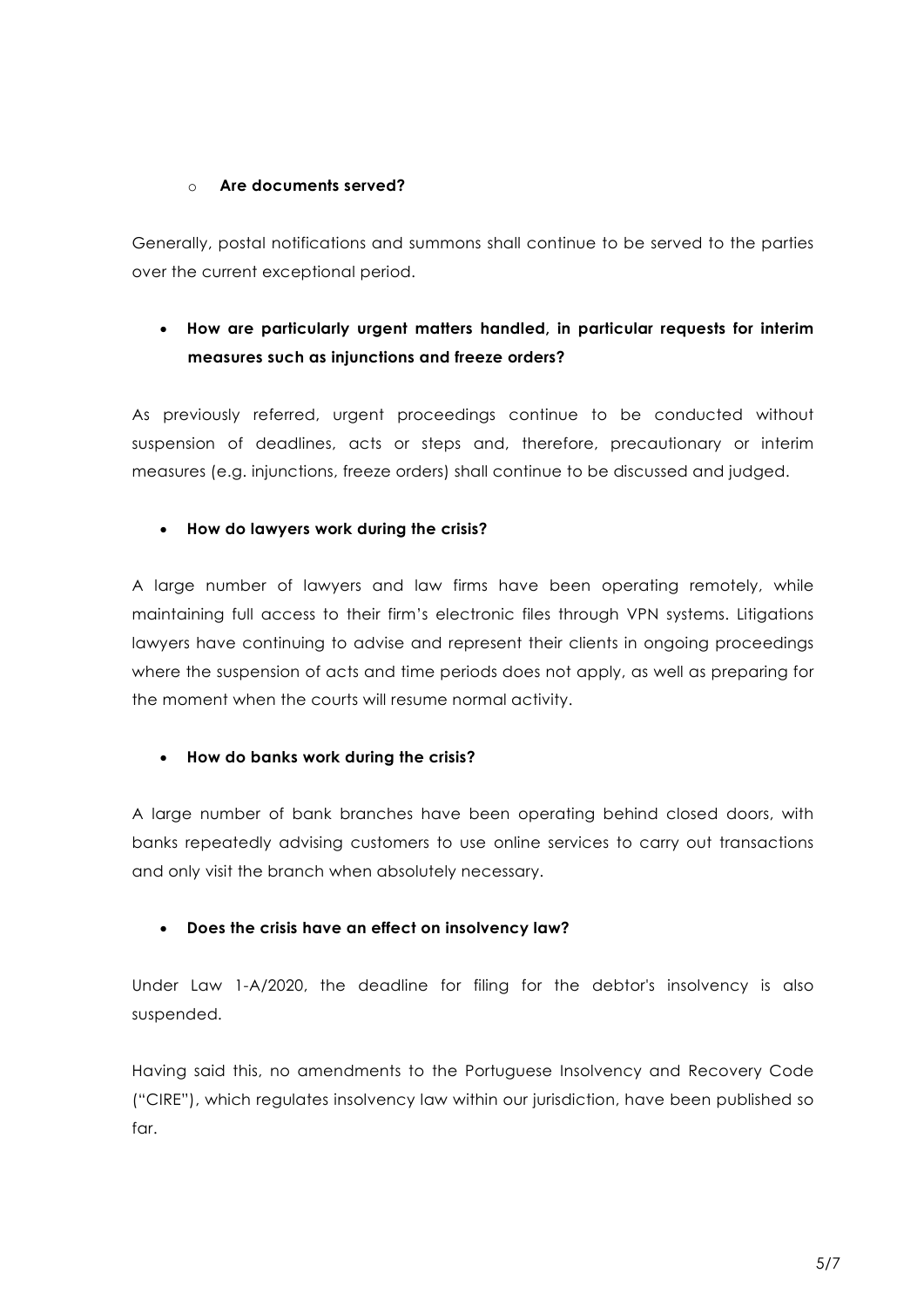## o Are documents served?

Generally, postal notifications and summons shall continue to be served to the parties over the current exceptional period.

# How are particularly urgent matters handled, in particular requests for interim measures such as injunctions and freeze orders?

As previously referred, urgent proceedings continue to be conducted without suspension of deadlines, acts or steps and, therefore, precautionary or interim measures (e.g. injunctions, freeze orders) shall continue to be discussed and judged.

## How do lawyers work during the crisis?

A large number of lawyers and law firms have been operating remotely, while maintaining full access to their firm's electronic files through VPN systems. Litigations lawyers have continuing to advise and represent their clients in ongoing proceedings where the suspension of acts and time periods does not apply, as well as preparing for the moment when the courts will resume normal activity.

## • How do banks work during the crisis?

A large number of bank branches have been operating behind closed doors, with banks repeatedly advising customers to use online services to carry out transactions and only visit the branch when absolutely necessary.

## Does the crisis have an effect on insolvency law?

Under Law 1-A/2020, the deadline for filing for the debtor's insolvency is also suspended.

Having said this, no amendments to the Portuguese Insolvency and Recovery Code ("CIRE"), which regulates insolvency law within our jurisdiction, have been published so far.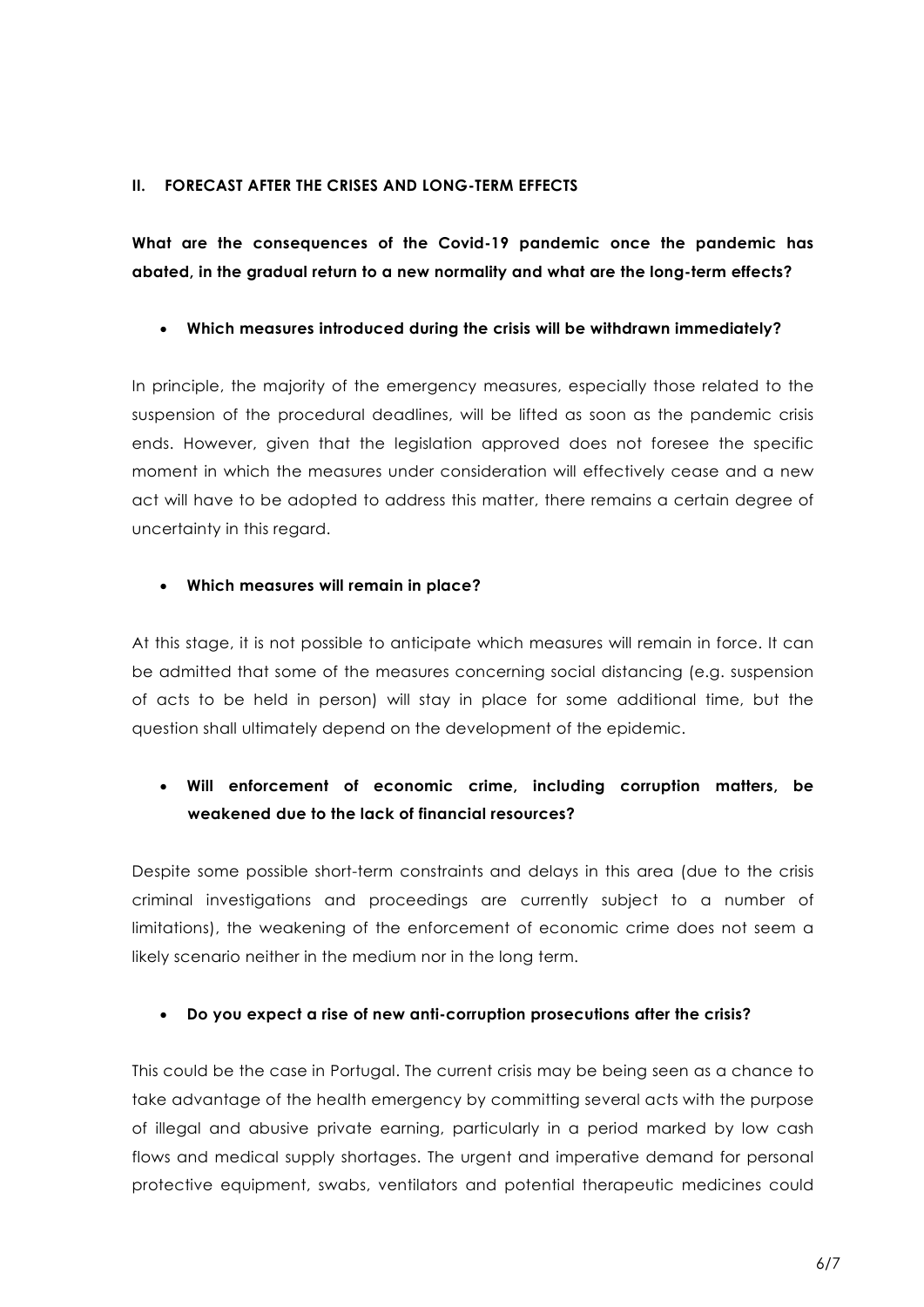### II. FORECAST AFTER THE CRISES AND LONG-TERM EFFECTS

What are the consequences of the Covid-19 pandemic once the pandemic has abated, in the gradual return to a new normality and what are the long-term effects?

Which measures introduced during the crisis will be withdrawn immediately?

In principle, the majority of the emergency measures, especially those related to the suspension of the procedural deadlines, will be lifted as soon as the pandemic crisis ends. However, given that the legislation approved does not foresee the specific moment in which the measures under consideration will effectively cease and a new act will have to be adopted to address this matter, there remains a certain degree of uncertainty in this regard.

### Which measures will remain in place?

At this stage, it is not possible to anticipate which measures will remain in force. It can be admitted that some of the measures concerning social distancing (e.g. suspension of acts to be held in person) will stay in place for some additional time, but the question shall ultimately depend on the development of the epidemic.

## Will enforcement of economic crime, including corruption matters, be weakened due to the lack of financial resources?

Despite some possible short-term constraints and delays in this area (due to the crisis criminal investigations and proceedings are currently subject to a number of limitations), the weakening of the enforcement of economic crime does not seem a likely scenario neither in the medium nor in the long term.

## Do you expect a rise of new anti-corruption prosecutions after the crisis?

This could be the case in Portugal. The current crisis may be being seen as a chance to take advantage of the health emergency by committing several acts with the purpose of illegal and abusive private earning, particularly in a period marked by low cash flows and medical supply shortages. The urgent and imperative demand for personal protective equipment, swabs, ventilators and potential therapeutic medicines could